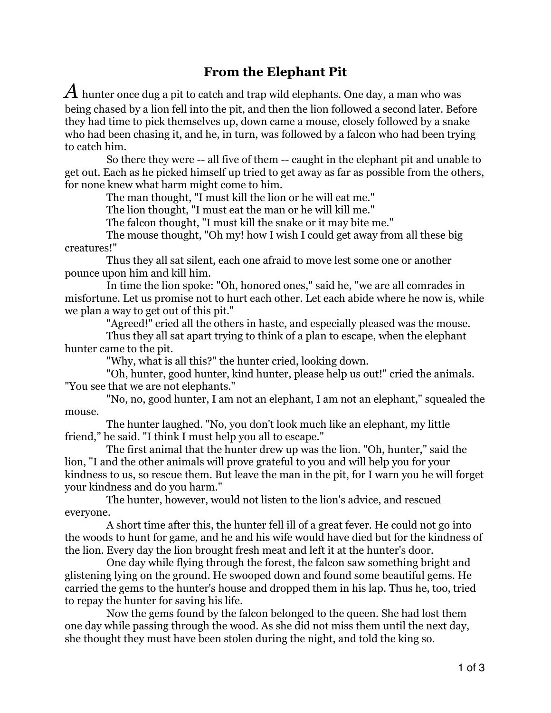## **From the Elephant Pit**

A hunter once dug a pit to catch and trap wild elephants. One day, a man who was being chased by a lion fell into the pit, and then the lion followed a second later. Before they had time to pick themselves up, down came a mouse, closely followed by a snake who had been chasing it, and he, in turn, was followed by a falcon who had been trying to catch him.

 So there they were -- all five of them -- caught in the elephant pit and unable to get out. Each as he picked himself up tried to get away as far as possible from the others, for none knew what harm might come to him.

The man thought, "I must kill the lion or he will eat me."

The lion thought, "I must eat the man or he will kill me."

The falcon thought, "I must kill the snake or it may bite me."

 The mouse thought, "Oh my! how I wish I could get away from all these big creatures!"

 Thus they all sat silent, each one afraid to move lest some one or another pounce upon him and kill him.

 In time the lion spoke: "Oh, honored ones," said he, "we are all comrades in misfortune. Let us promise not to hurt each other. Let each abide where he now is, while we plan a way to get out of this pit."

"Agreed!" cried all the others in haste, and especially pleased was the mouse.

 Thus they all sat apart trying to think of a plan to escape, when the elephant hunter came to the pit.

"Why, what is all this?" the hunter cried, looking down.

 "Oh, hunter, good hunter, kind hunter, please help us out!" cried the animals. "You see that we are not elephants."

 "No, no, good hunter, I am not an elephant, I am not an elephant," squealed the mouse.

 The hunter laughed. "No, you don't look much like an elephant, my little friend," he said. "I think I must help you all to escape."

 The first animal that the hunter drew up was the lion. "Oh, hunter," said the lion, "I and the other animals will prove grateful to you and will help you for your kindness to us, so rescue them. But leave the man in the pit, for I warn you he will forget your kindness and do you harm."

 The hunter, however, would not listen to the lion's advice, and rescued everyone.

 A short time after this, the hunter fell ill of a great fever. He could not go into the woods to hunt for game, and he and his wife would have died but for the kindness of the lion. Every day the lion brought fresh meat and left it at the hunter's door.

 One day while flying through the forest, the falcon saw something bright and glistening lying on the ground. He swooped down and found some beautiful gems. He carried the gems to the hunter's house and dropped them in his lap. Thus he, too, tried to repay the hunter for saving his life.

 Now the gems found by the falcon belonged to the queen. She had lost them one day while passing through the wood. As she did not miss them until the next day, she thought they must have been stolen during the night, and told the king so.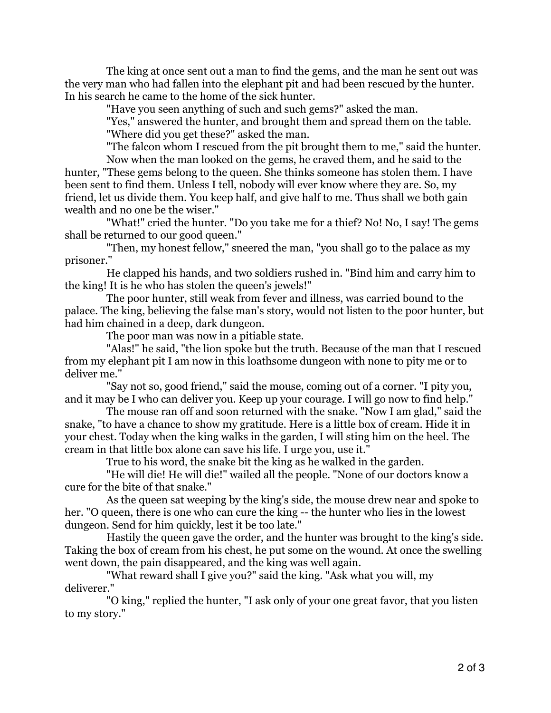The king at once sent out a man to find the gems, and the man he sent out was the very man who had fallen into the elephant pit and had been rescued by the hunter. In his search he came to the home of the sick hunter.

"Have you seen anything of such and such gems?" asked the man.

 "Yes," answered the hunter, and brought them and spread them on the table. "Where did you get these?" asked the man.

 "The falcon whom I rescued from the pit brought them to me," said the hunter. Now when the man looked on the gems, he craved them, and he said to the hunter, "These gems belong to the queen. She thinks someone has stolen them. I have been sent to find them. Unless I tell, nobody will ever know where they are. So, my friend, let us divide them. You keep half, and give half to me. Thus shall we both gain wealth and no one be the wiser."

 "What!" cried the hunter. "Do you take me for a thief? No! No, I say! The gems shall be returned to our good queen."

 "Then, my honest fellow," sneered the man, "you shall go to the palace as my prisoner."

 He clapped his hands, and two soldiers rushed in. "Bind him and carry him to the king! It is he who has stolen the queen's jewels!"

 The poor hunter, still weak from fever and illness, was carried bound to the palace. The king, believing the false man's story, would not listen to the poor hunter, but had him chained in a deep, dark dungeon.

The poor man was now in a pitiable state.

 "Alas!" he said, "the lion spoke but the truth. Because of the man that I rescued from my elephant pit I am now in this loathsome dungeon with none to pity me or to deliver me."

 "Say not so, good friend," said the mouse, coming out of a corner. "I pity you, and it may be I who can deliver you. Keep up your courage. I will go now to find help."

 The mouse ran off and soon returned with the snake. "Now I am glad," said the snake, "to have a chance to show my gratitude. Here is a little box of cream. Hide it in your chest. Today when the king walks in the garden, I will sting him on the heel. The cream in that little box alone can save his life. I urge you, use it."

True to his word, the snake bit the king as he walked in the garden.

 "He will die! He will die!" wailed all the people. "None of our doctors know a cure for the bite of that snake."

 As the queen sat weeping by the king's side, the mouse drew near and spoke to her. "O queen, there is one who can cure the king -- the hunter who lies in the lowest dungeon. Send for him quickly, lest it be too late."

 Hastily the queen gave the order, and the hunter was brought to the king's side. Taking the box of cream from his chest, he put some on the wound. At once the swelling went down, the pain disappeared, and the king was well again.

 "What reward shall I give you?" said the king. "Ask what you will, my deliverer."

 "O king," replied the hunter, "I ask only of your one great favor, that you listen to my story."